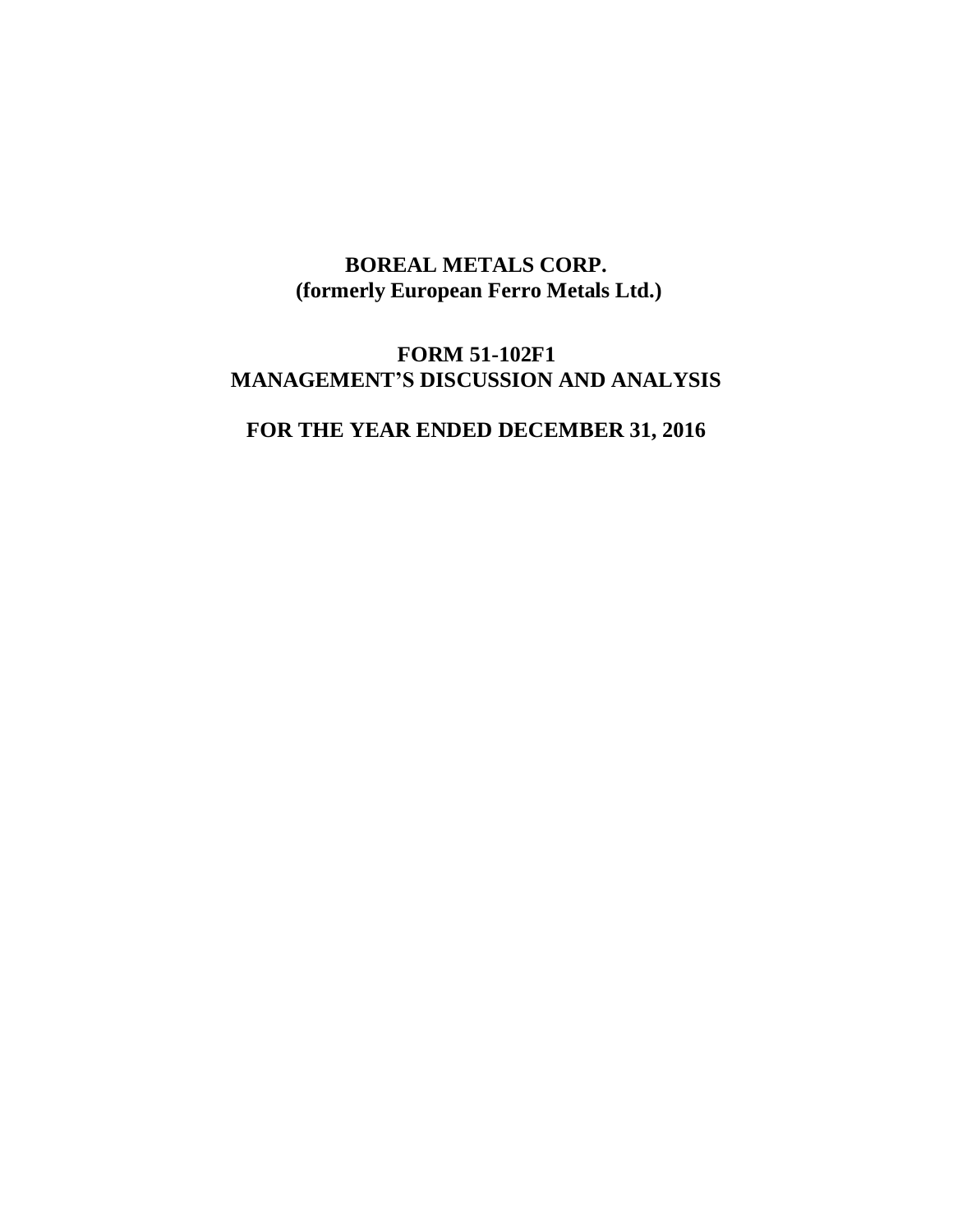# **BOREAL METALS CORP. (formerly European Ferro Metals Ltd.)**

# **FORM 51-102F1 MANAGEMENT'S DISCUSSION AND ANALYSIS**

# **FOR THE YEAR ENDED DECEMBER 31, 2016**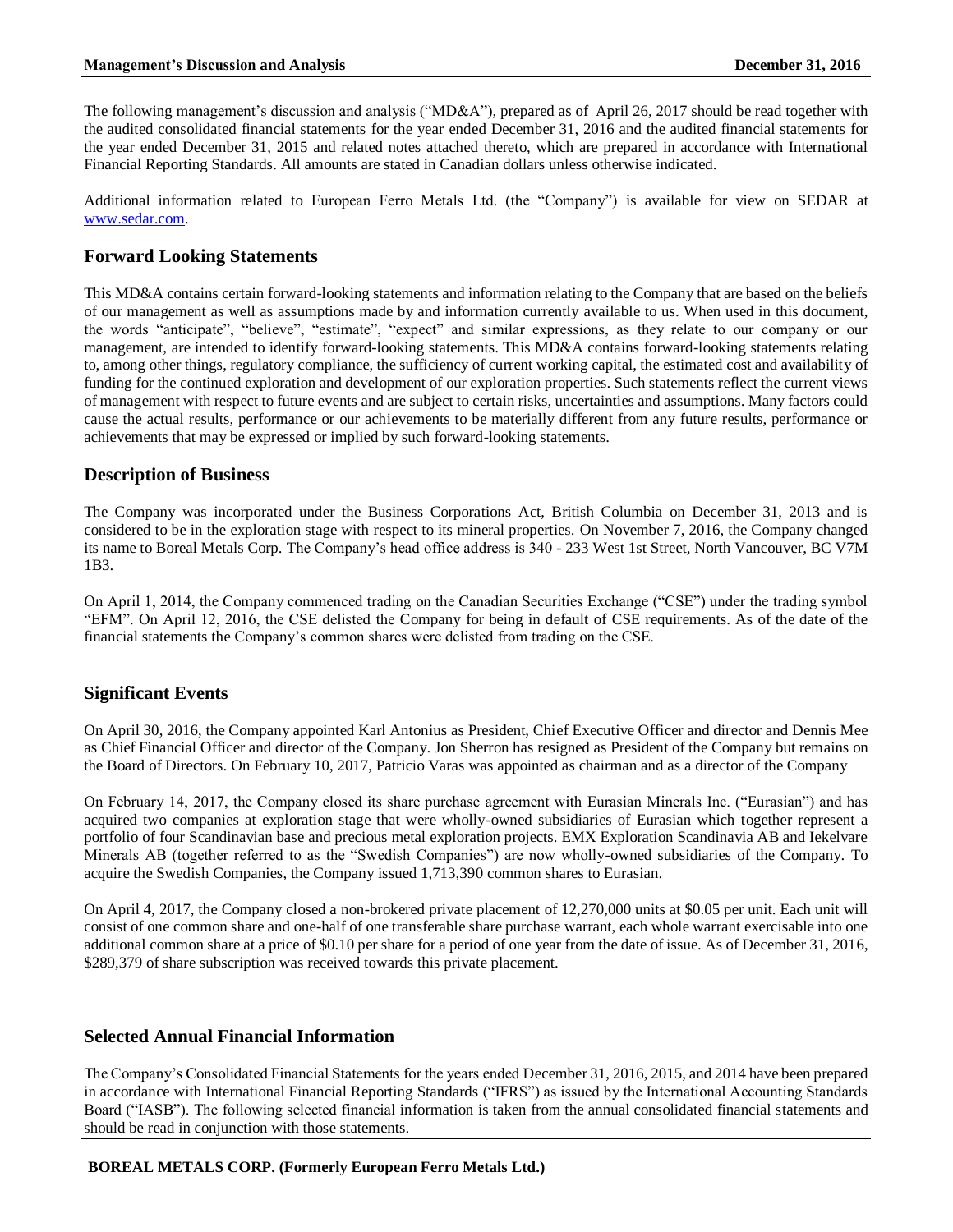The following management's discussion and analysis ("MD&A"), prepared as of April 26, 2017 should be read together with the audited consolidated financial statements for the year ended December 31, 2016 and the audited financial statements for the year ended December 31, 2015 and related notes attached thereto, which are prepared in accordance with International Financial Reporting Standards. All amounts are stated in Canadian dollars unless otherwise indicated.

Additional information related to European Ferro Metals Ltd. (the "Company") is available for view on SEDAR at [www.sedar.com.](http://www.sedar.com/)

# **Forward Looking Statements**

This MD&A contains certain forward-looking statements and information relating to the Company that are based on the beliefs of our management as well as assumptions made by and information currently available to us. When used in this document, the words "anticipate", "believe", "estimate", "expect" and similar expressions, as they relate to our company or our management, are intended to identify forward-looking statements. This MD&A contains forward-looking statements relating to, among other things, regulatory compliance, the sufficiency of current working capital, the estimated cost and availability of funding for the continued exploration and development of our exploration properties. Such statements reflect the current views of management with respect to future events and are subject to certain risks, uncertainties and assumptions. Many factors could cause the actual results, performance or our achievements to be materially different from any future results, performance or achievements that may be expressed or implied by such forward-looking statements.

# **Description of Business**

The Company was incorporated under the Business Corporations Act, British Columbia on December 31, 2013 and is considered to be in the exploration stage with respect to its mineral properties. On November 7, 2016, the Company changed its name to Boreal Metals Corp. The Company's head office address is 340 - 233 West 1st Street, North Vancouver, BC V7M 1B3.

On April 1, 2014, the Company commenced trading on the Canadian Securities Exchange ("CSE") under the trading symbol "EFM". On April 12, 2016, the CSE delisted the Company for being in default of CSE requirements. As of the date of the financial statements the Company's common shares were delisted from trading on the CSE.

# **Significant Events**

On April 30, 2016, the Company appointed Karl Antonius as President, Chief Executive Officer and director and Dennis Mee as Chief Financial Officer and director of the Company. Jon Sherron has resigned as President of the Company but remains on the Board of Directors. On February 10, 2017, Patricio Varas was appointed as chairman and as a director of the Company

On February 14, 2017, the Company closed its share purchase agreement with Eurasian Minerals Inc. ("Eurasian") and has acquired two companies at exploration stage that were wholly-owned subsidiaries of Eurasian which together represent a portfolio of four Scandinavian base and precious metal exploration projects. EMX Exploration Scandinavia AB and Iekelvare Minerals AB (together referred to as the "Swedish Companies") are now wholly-owned subsidiaries of the Company. To acquire the Swedish Companies, the Company issued 1,713,390 common shares to Eurasian.

On April 4, 2017, the Company closed a non-brokered private placement of 12,270,000 units at \$0.05 per unit. Each unit will consist of one common share and one-half of one transferable share purchase warrant, each whole warrant exercisable into one additional common share at a price of \$0.10 per share for a period of one year from the date of issue. As of December 31, 2016, \$289,379 of share subscription was received towards this private placement.

## **Selected Annual Financial Information**

The Company's Consolidated Financial Statements for the years ended December 31, 2016, 2015, and 2014 have been prepared in accordance with International Financial Reporting Standards ("IFRS") as issued by the International Accounting Standards Board ("IASB"). The following selected financial information is taken from the annual consolidated financial statements and should be read in conjunction with those statements.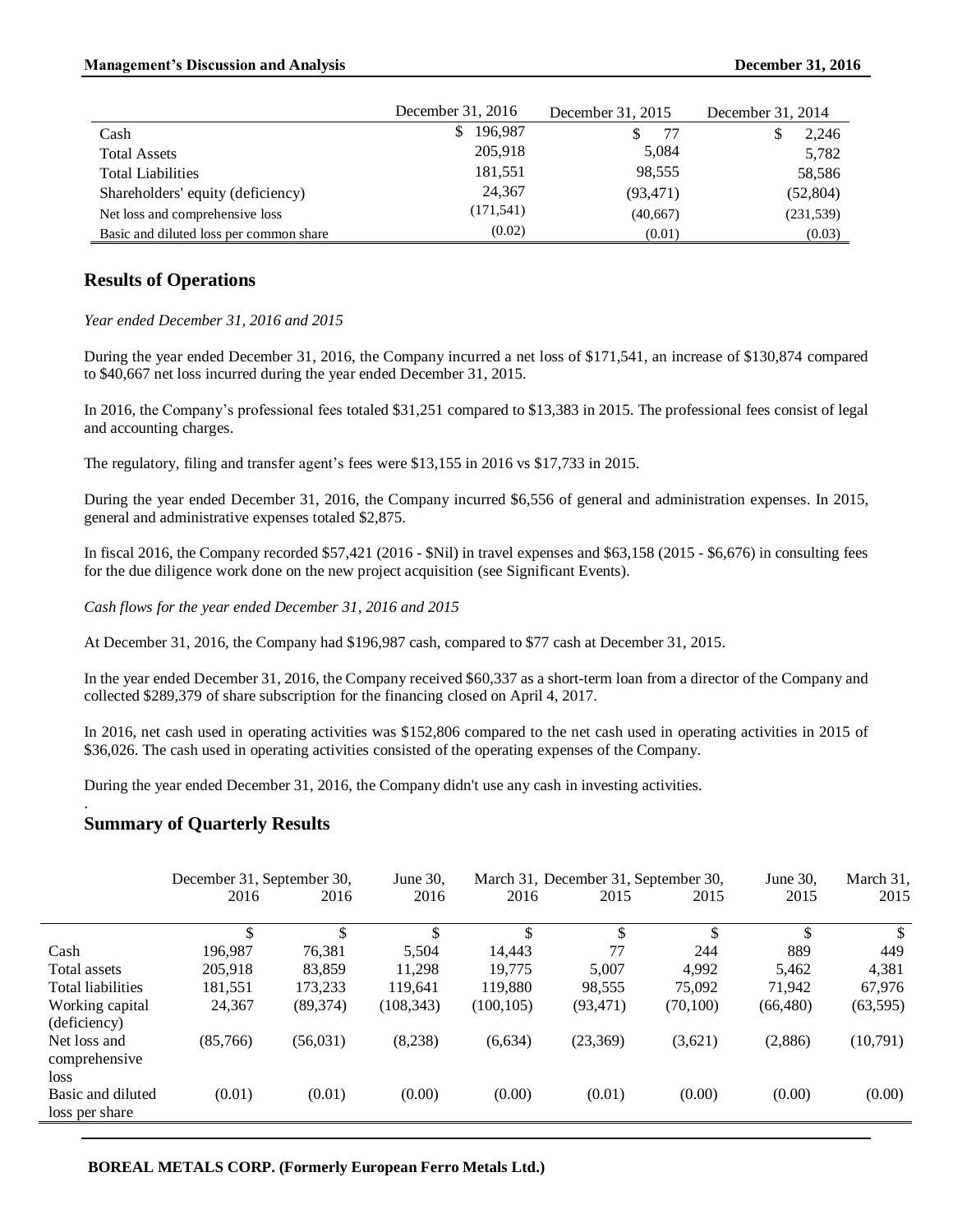#### **Management's Discussion and Analysis December 31, 2016**

|                                         | December 31, 2016 | December 31, 2015 | December 31, 2014 |  |
|-----------------------------------------|-------------------|-------------------|-------------------|--|
| Cash                                    | 196.987<br>S.     | 77                | 2,246             |  |
| <b>Total Assets</b>                     | 205,918           | 5,084             | 5,782             |  |
| <b>Total Liabilities</b>                | 181,551           | 98,555            | 58,586            |  |
| Shareholders' equity (deficiency)       | 24,367            | (93, 471)         | (52, 804)         |  |
| Net loss and comprehensive loss         | (171, 541)        | (40,667)          | (231, 539)        |  |
| Basic and diluted loss per common share | (0.02)            | (0.01)            | (0.03)            |  |

## **Results of Operations**

#### *Year ended December 31, 2016 and 2015*

During the year ended December 31, 2016, the Company incurred a net loss of \$171,541, an increase of \$130,874 compared to \$40,667 net loss incurred during the year ended December 31, 2015.

In 2016, the Company's professional fees totaled \$31,251 compared to \$13,383 in 2015. The professional fees consist of legal and accounting charges.

The regulatory, filing and transfer agent's fees were \$13,155 in 2016 vs \$17,733 in 2015.

During the year ended December 31, 2016, the Company incurred \$6,556 of general and administration expenses. In 2015, general and administrative expenses totaled \$2,875.

In fiscal 2016, the Company recorded \$57,421 (2016 - \$Nil) in travel expenses and \$63,158 (2015 - \$6,676) in consulting fees for the due diligence work done on the new project acquisition (see Significant Events).

*Cash flows for the year ended December 31, 2016 and 2015*

At December 31, 2016, the Company had \$196,987 cash, compared to \$77 cash at December 31, 2015.

In the year ended December 31, 2016, the Company received \$60,337 as a short-term loan from a director of the Company and collected \$289,379 of share subscription for the financing closed on April 4, 2017.

In 2016, net cash used in operating activities was \$152,806 compared to the net cash used in operating activities in 2015 of \$36,026. The cash used in operating activities consisted of the operating expenses of the Company.

During the year ended December 31, 2016, the Company didn't use any cash in investing activities.

#### **Summary of Quarterly Results**

.

|                                       | December 31, September 30, |           | June 30,   | March 31, December 31, September 30, |           |           | June 30,  | March 31, |
|---------------------------------------|----------------------------|-----------|------------|--------------------------------------|-----------|-----------|-----------|-----------|
|                                       | 2016                       | 2016      | 2016       | 2016                                 | 2015      | 2015      | 2015      | 2015      |
|                                       | \$                         | \$        | \$         | \$                                   | \$        | \$        | \$        | \$.       |
| Cash                                  | 196.987                    | 76.381    | 5.504      | 14.443                               | 77        | 244       | 889       | 449       |
| Total assets                          | 205,918                    | 83.859    | 11,298     | 19.775                               | 5.007     | 4.992     | 5,462     | 4,381     |
| <b>Total liabilities</b>              | 181,551                    | 173.233   | 119.641    | 119.880                              | 98.555    | 75,092    | 71.942    | 67.976    |
| Working capital<br>(deficiency)       | 24,367                     | (89, 374) | (108, 343) | (100, 105)                           | (93, 471) | (70, 100) | (66, 480) | (63, 595) |
| Net loss and<br>comprehensive<br>loss | (85,766)                   | (56, 031) | (8,238)    | (6,634)                              | (23,369)  | (3,621)   | (2,886)   | (10,791)  |
| Basic and diluted<br>loss per share   | (0.01)                     | (0.01)    | (0.00)     | (0.00)                               | (0.01)    | (0.00)    | (0.00)    | (0.00)    |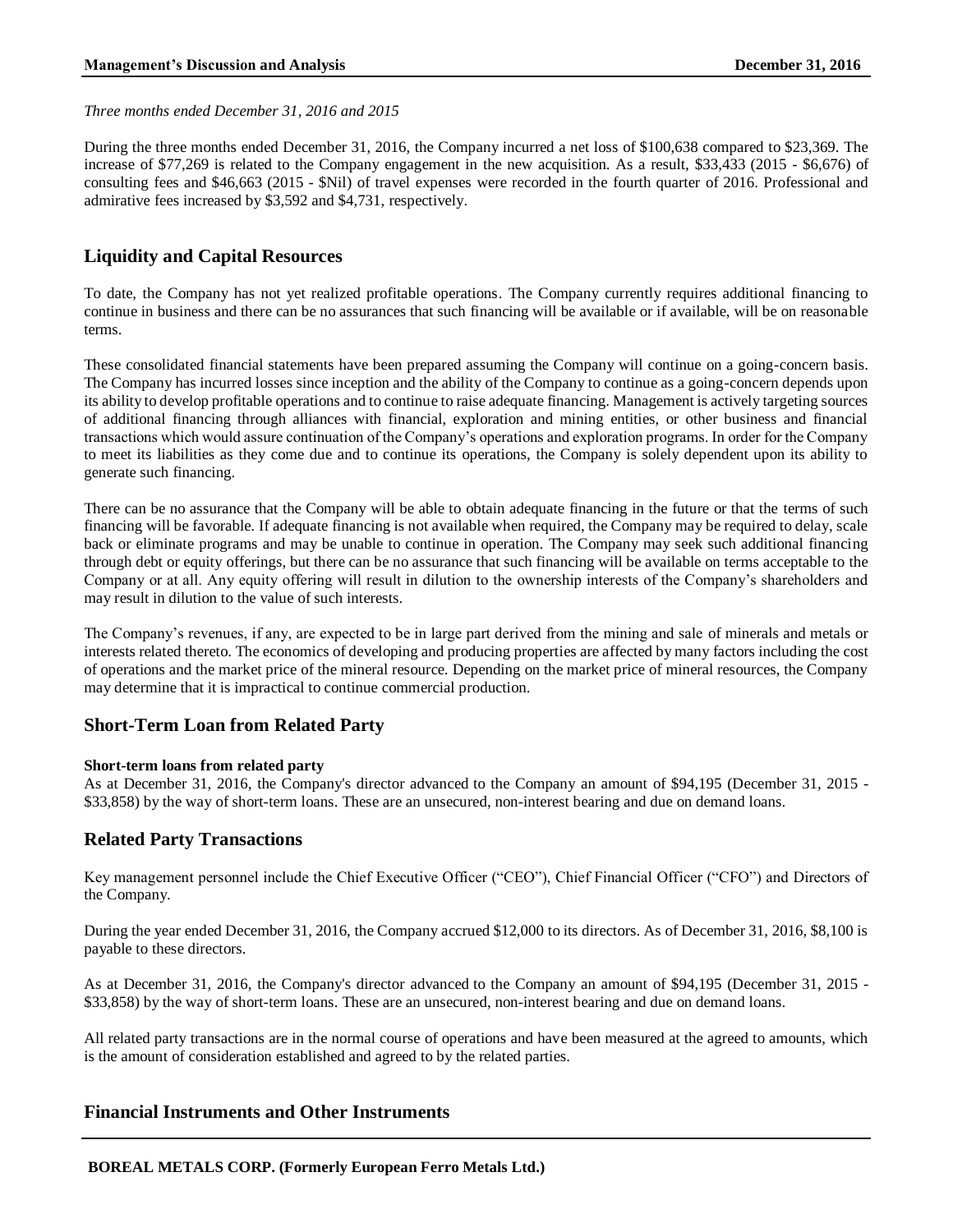*Three months ended December 31, 2016 and 2015*

During the three months ended December 31, 2016, the Company incurred a net loss of \$100,638 compared to \$23,369. The increase of \$77,269 is related to the Company engagement in the new acquisition. As a result, \$33,433 (2015 - \$6,676) of consulting fees and \$46,663 (2015 - \$Nil) of travel expenses were recorded in the fourth quarter of 2016. Professional and admirative fees increased by \$3,592 and \$4,731, respectively.

# **Liquidity and Capital Resources**

To date, the Company has not yet realized profitable operations. The Company currently requires additional financing to continue in business and there can be no assurances that such financing will be available or if available, will be on reasonable terms.

These consolidated financial statements have been prepared assuming the Company will continue on a going-concern basis. The Company has incurred losses since inception and the ability of the Company to continue as a going-concern depends upon its ability to develop profitable operations and to continue to raise adequate financing. Management is actively targeting sources of additional financing through alliances with financial, exploration and mining entities, or other business and financial transactions which would assure continuation of the Company's operations and exploration programs. In order for the Company to meet its liabilities as they come due and to continue its operations, the Company is solely dependent upon its ability to generate such financing.

There can be no assurance that the Company will be able to obtain adequate financing in the future or that the terms of such financing will be favorable. If adequate financing is not available when required, the Company may be required to delay, scale back or eliminate programs and may be unable to continue in operation. The Company may seek such additional financing through debt or equity offerings, but there can be no assurance that such financing will be available on terms acceptable to the Company or at all. Any equity offering will result in dilution to the ownership interests of the Company's shareholders and may result in dilution to the value of such interests.

The Company's revenues, if any, are expected to be in large part derived from the mining and sale of minerals and metals or interests related thereto. The economics of developing and producing properties are affected by many factors including the cost of operations and the market price of the mineral resource. Depending on the market price of mineral resources, the Company may determine that it is impractical to continue commercial production.

## **Short-Term Loan from Related Party**

#### **Short-term loans from related party**

As at December 31, 2016, the Company's director advanced to the Company an amount of \$94,195 (December 31, 2015 - \$33,858) by the way of short-term loans. These are an unsecured, non-interest bearing and due on demand loans.

## **Related Party Transactions**

Key management personnel include the Chief Executive Officer ("CEO"), Chief Financial Officer ("CFO") and Directors of the Company.

During the year ended December 31, 2016, the Company accrued \$12,000 to its directors. As of December 31, 2016, \$8,100 is payable to these directors.

As at December 31, 2016, the Company's director advanced to the Company an amount of \$94,195 (December 31, 2015 - \$33,858) by the way of short-term loans. These are an unsecured, non-interest bearing and due on demand loans.

All related party transactions are in the normal course of operations and have been measured at the agreed to amounts, which is the amount of consideration established and agreed to by the related parties.

#### **Financial Instruments and Other Instruments**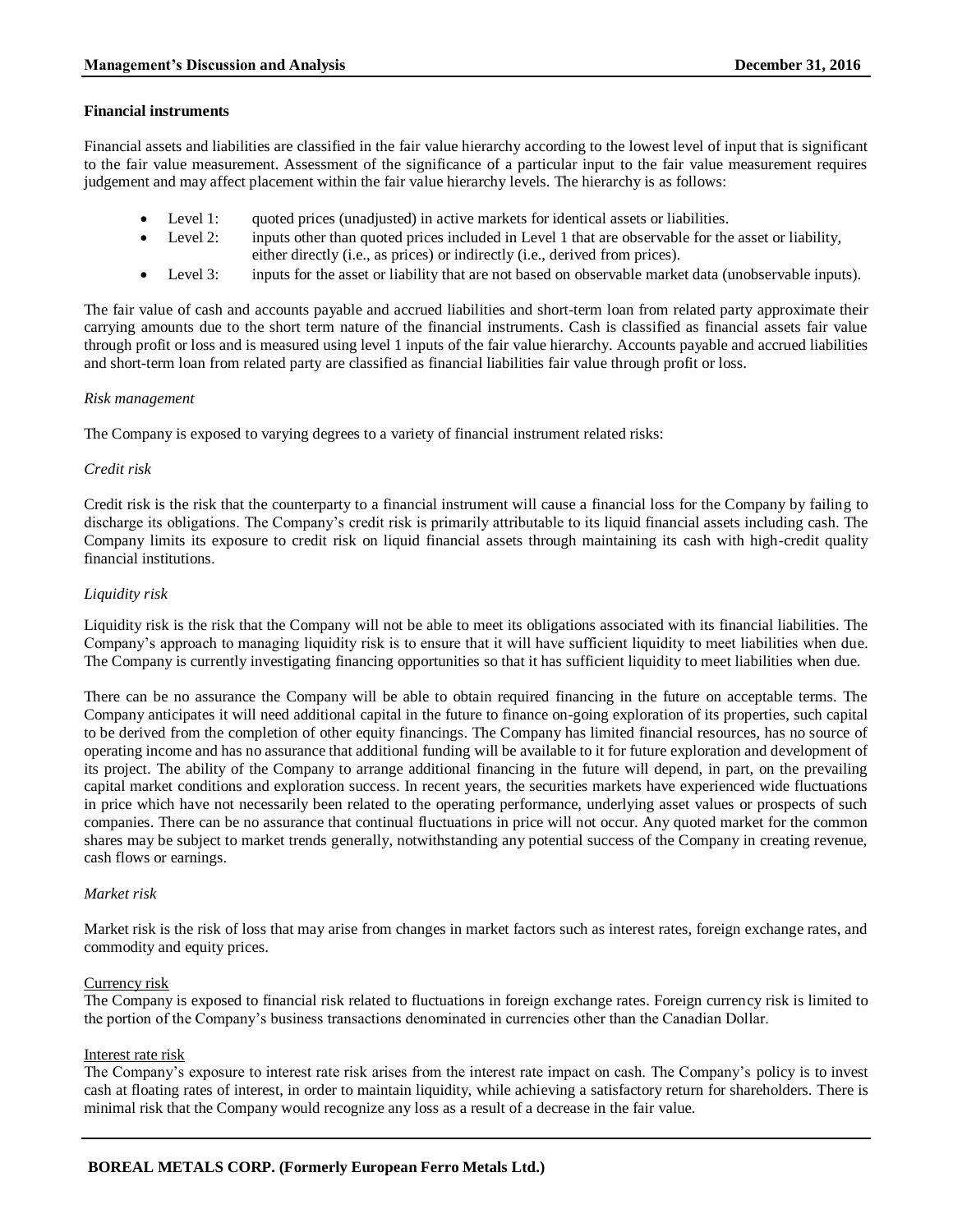#### **Financial instruments**

Financial assets and liabilities are classified in the fair value hierarchy according to the lowest level of input that is significant to the fair value measurement. Assessment of the significance of a particular input to the fair value measurement requires judgement and may affect placement within the fair value hierarchy levels. The hierarchy is as follows:

- Level 1: quoted prices (unadjusted) in active markets for identical assets or liabilities.
- Level 2: inputs other than quoted prices included in Level 1 that are observable for the asset or liability, either directly (i.e., as prices) or indirectly (i.e., derived from prices).
- Level 3: inputs for the asset or liability that are not based on observable market data (unobservable inputs).

The fair value of cash and accounts payable and accrued liabilities and short-term loan from related party approximate their carrying amounts due to the short term nature of the financial instruments. Cash is classified as financial assets fair value through profit or loss and is measured using level 1 inputs of the fair value hierarchy. Accounts payable and accrued liabilities and short-term loan from related party are classified as financial liabilities fair value through profit or loss.

#### *Risk management*

The Company is exposed to varying degrees to a variety of financial instrument related risks:

#### *Credit risk*

Credit risk is the risk that the counterparty to a financial instrument will cause a financial loss for the Company by failing to discharge its obligations. The Company's credit risk is primarily attributable to its liquid financial assets including cash. The Company limits its exposure to credit risk on liquid financial assets through maintaining its cash with high-credit quality financial institutions.

#### *Liquidity risk*

Liquidity risk is the risk that the Company will not be able to meet its obligations associated with its financial liabilities. The Company's approach to managing liquidity risk is to ensure that it will have sufficient liquidity to meet liabilities when due. The Company is currently investigating financing opportunities so that it has sufficient liquidity to meet liabilities when due.

There can be no assurance the Company will be able to obtain required financing in the future on acceptable terms. The Company anticipates it will need additional capital in the future to finance on-going exploration of its properties, such capital to be derived from the completion of other equity financings. The Company has limited financial resources, has no source of operating income and has no assurance that additional funding will be available to it for future exploration and development of its project. The ability of the Company to arrange additional financing in the future will depend, in part, on the prevailing capital market conditions and exploration success. In recent years, the securities markets have experienced wide fluctuations in price which have not necessarily been related to the operating performance, underlying asset values or prospects of such companies. There can be no assurance that continual fluctuations in price will not occur. Any quoted market for the common shares may be subject to market trends generally, notwithstanding any potential success of the Company in creating revenue, cash flows or earnings.

#### *Market risk*

Market risk is the risk of loss that may arise from changes in market factors such as interest rates, foreign exchange rates, and commodity and equity prices.

#### Currency risk

The Company is exposed to financial risk related to fluctuations in foreign exchange rates. Foreign currency risk is limited to the portion of the Company's business transactions denominated in currencies other than the Canadian Dollar.

#### Interest rate risk

The Company's exposure to interest rate risk arises from the interest rate impact on cash. The Company's policy is to invest cash at floating rates of interest, in order to maintain liquidity, while achieving a satisfactory return for shareholders. There is minimal risk that the Company would recognize any loss as a result of a decrease in the fair value.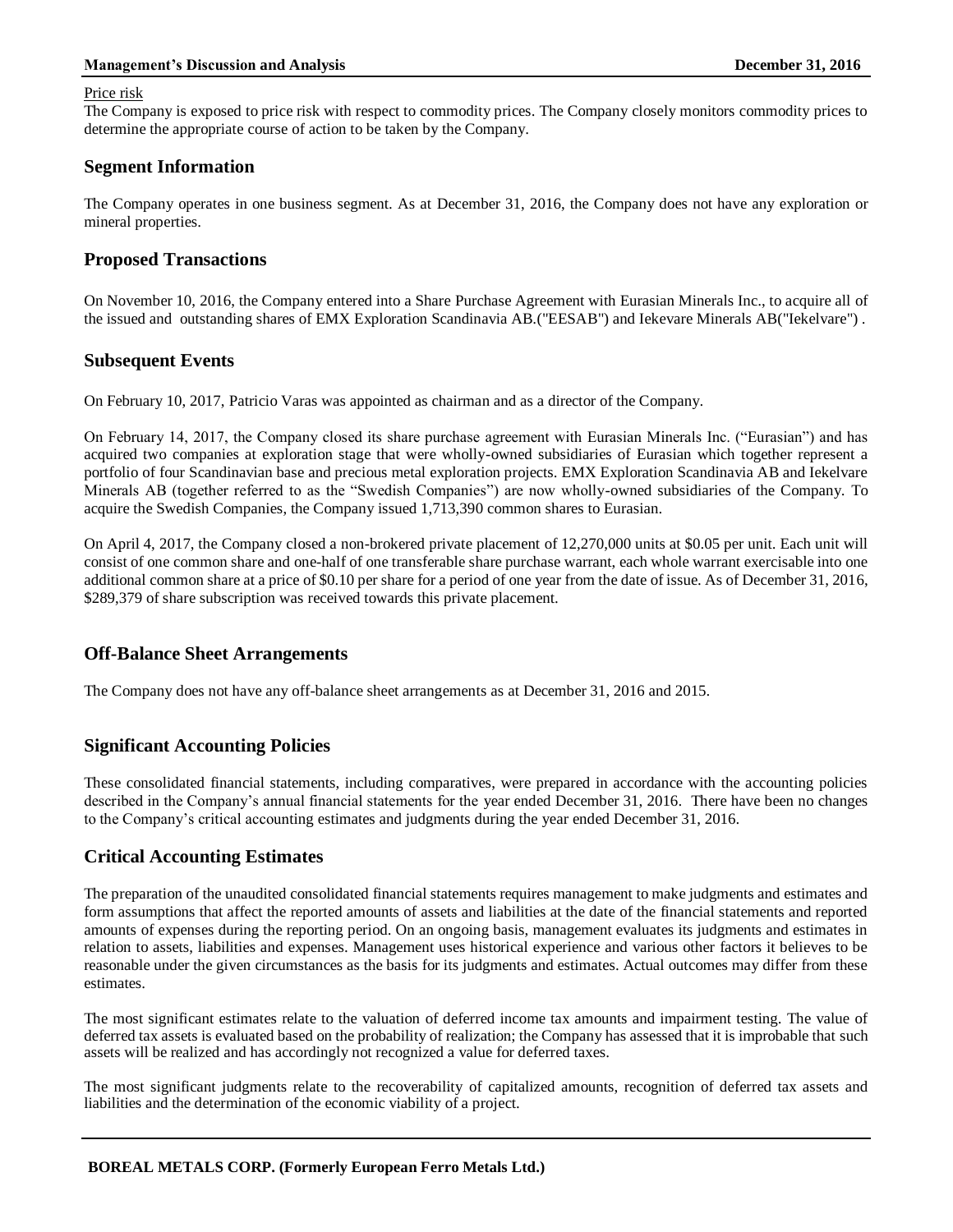#### **Management's Discussion and Analysis December 31, 2016**

#### Price risk

The Company is exposed to price risk with respect to commodity prices. The Company closely monitors commodity prices to determine the appropriate course of action to be taken by the Company.

## **Segment Information**

The Company operates in one business segment. As at December 31, 2016, the Company does not have any exploration or mineral properties.

### **Proposed Transactions**

On November 10, 2016, the Company entered into a Share Purchase Agreement with Eurasian Minerals Inc., to acquire all of the issued and outstanding shares of EMX Exploration Scandinavia AB.("EESAB") and Iekevare Minerals AB("Iekelvare") .

## **Subsequent Events**

On February 10, 2017, Patricio Varas was appointed as chairman and as a director of the Company.

On February 14, 2017, the Company closed its share purchase agreement with Eurasian Minerals Inc. ("Eurasian") and has acquired two companies at exploration stage that were wholly-owned subsidiaries of Eurasian which together represent a portfolio of four Scandinavian base and precious metal exploration projects. EMX Exploration Scandinavia AB and Iekelvare Minerals AB (together referred to as the "Swedish Companies") are now wholly-owned subsidiaries of the Company. To acquire the Swedish Companies, the Company issued 1,713,390 common shares to Eurasian.

On April 4, 2017, the Company closed a non-brokered private placement of 12,270,000 units at \$0.05 per unit. Each unit will consist of one common share and one-half of one transferable share purchase warrant, each whole warrant exercisable into one additional common share at a price of \$0.10 per share for a period of one year from the date of issue. As of December 31, 2016, \$289,379 of share subscription was received towards this private placement.

## **Off-Balance Sheet Arrangements**

The Company does not have any off-balance sheet arrangements as at December 31, 2016 and 2015.

## **Significant Accounting Policies**

These consolidated financial statements, including comparatives, were prepared in accordance with the accounting policies described in the Company's annual financial statements for the year ended December 31, 2016. There have been no changes to the Company's critical accounting estimates and judgments during the year ended December 31, 2016.

## **Critical Accounting Estimates**

The preparation of the unaudited consolidated financial statements requires management to make judgments and estimates and form assumptions that affect the reported amounts of assets and liabilities at the date of the financial statements and reported amounts of expenses during the reporting period. On an ongoing basis, management evaluates its judgments and estimates in relation to assets, liabilities and expenses. Management uses historical experience and various other factors it believes to be reasonable under the given circumstances as the basis for its judgments and estimates. Actual outcomes may differ from these estimates.

The most significant estimates relate to the valuation of deferred income tax amounts and impairment testing. The value of deferred tax assets is evaluated based on the probability of realization; the Company has assessed that it is improbable that such assets will be realized and has accordingly not recognized a value for deferred taxes.

The most significant judgments relate to the recoverability of capitalized amounts, recognition of deferred tax assets and liabilities and the determination of the economic viability of a project.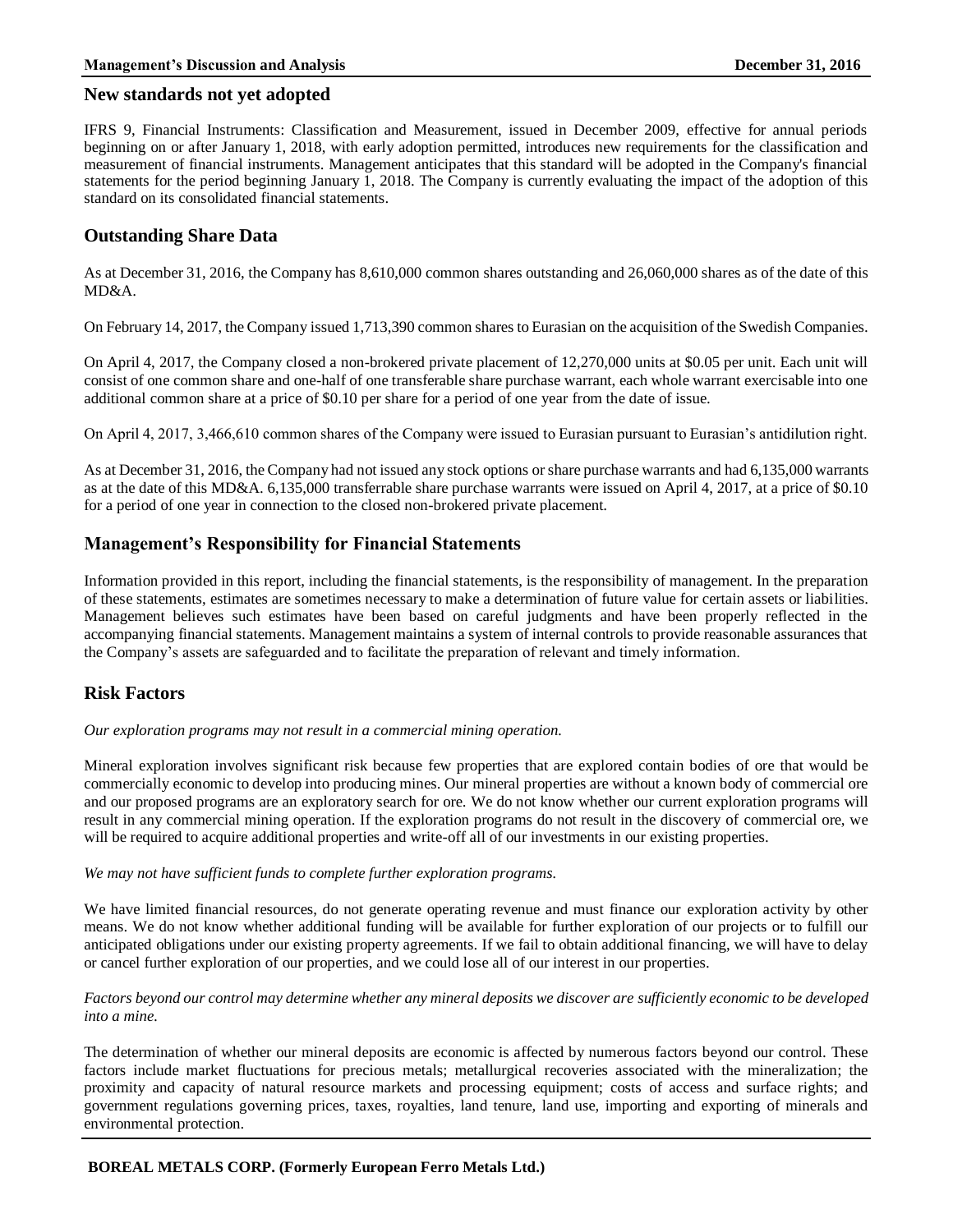#### **New standards not yet adopted**

IFRS 9, Financial Instruments: Classification and Measurement, issued in December 2009, effective for annual periods beginning on or after January 1, 2018, with early adoption permitted, introduces new requirements for the classification and measurement of financial instruments. Management anticipates that this standard will be adopted in the Company's financial statements for the period beginning January 1, 2018. The Company is currently evaluating the impact of the adoption of this standard on its consolidated financial statements.

## **Outstanding Share Data**

As at December 31, 2016, the Company has 8,610,000 common shares outstanding and 26,060,000 shares as of the date of this MD&A.

On February 14, 2017, the Company issued 1,713,390 common shares to Eurasian on the acquisition of the Swedish Companies.

On April 4, 2017, the Company closed a non-brokered private placement of 12,270,000 units at \$0.05 per unit. Each unit will consist of one common share and one-half of one transferable share purchase warrant, each whole warrant exercisable into one additional common share at a price of \$0.10 per share for a period of one year from the date of issue.

On April 4, 2017, 3,466,610 common shares of the Company were issued to Eurasian pursuant to Eurasian's antidilution right.

As at December 31, 2016, the Company had not issued any stock options or share purchase warrants and had 6,135,000 warrants as at the date of this MD&A. 6,135,000 transferrable share purchase warrants were issued on April 4, 2017, at a price of \$0.10 for a period of one year in connection to the closed non-brokered private placement.

## **Management's Responsibility for Financial Statements**

Information provided in this report, including the financial statements, is the responsibility of management. In the preparation of these statements, estimates are sometimes necessary to make a determination of future value for certain assets or liabilities. Management believes such estimates have been based on careful judgments and have been properly reflected in the accompanying financial statements. Management maintains a system of internal controls to provide reasonable assurances that the Company's assets are safeguarded and to facilitate the preparation of relevant and timely information.

# **Risk Factors**

*Our exploration programs may not result in a commercial mining operation.*

Mineral exploration involves significant risk because few properties that are explored contain bodies of ore that would be commercially economic to develop into producing mines. Our mineral properties are without a known body of commercial ore and our proposed programs are an exploratory search for ore. We do not know whether our current exploration programs will result in any commercial mining operation. If the exploration programs do not result in the discovery of commercial ore, we will be required to acquire additional properties and write-off all of our investments in our existing properties.

#### *We may not have sufficient funds to complete further exploration programs.*

We have limited financial resources, do not generate operating revenue and must finance our exploration activity by other means. We do not know whether additional funding will be available for further exploration of our projects or to fulfill our anticipated obligations under our existing property agreements. If we fail to obtain additional financing, we will have to delay or cancel further exploration of our properties, and we could lose all of our interest in our properties.

#### *Factors beyond our control may determine whether any mineral deposits we discover are sufficiently economic to be developed into a mine.*

The determination of whether our mineral deposits are economic is affected by numerous factors beyond our control. These factors include market fluctuations for precious metals; metallurgical recoveries associated with the mineralization; the proximity and capacity of natural resource markets and processing equipment; costs of access and surface rights; and government regulations governing prices, taxes, royalties, land tenure, land use, importing and exporting of minerals and environmental protection.